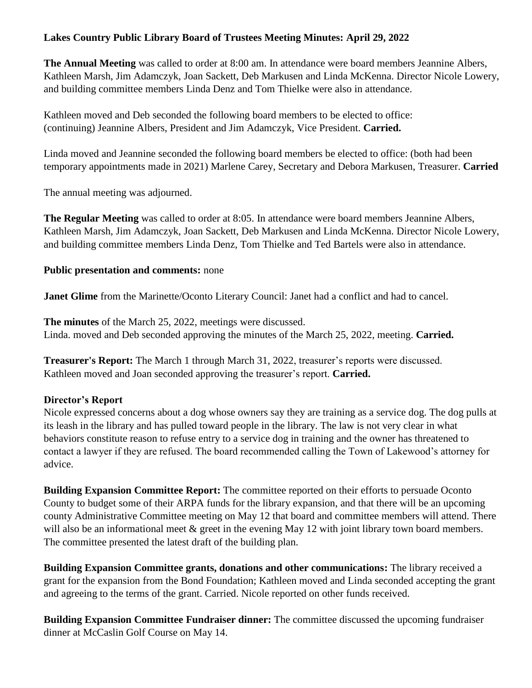## **Lakes Country Public Library Board of Trustees Meeting Minutes: April 29, 2022**

**The Annual Meeting** was called to order at 8:00 am. In attendance were board members Jeannine Albers, Kathleen Marsh, Jim Adamczyk, Joan Sackett, Deb Markusen and Linda McKenna. Director Nicole Lowery, and building committee members Linda Denz and Tom Thielke were also in attendance.

Kathleen moved and Deb seconded the following board members to be elected to office: (continuing) Jeannine Albers, President and Jim Adamczyk, Vice President. **Carried.**

Linda moved and Jeannine seconded the following board members be elected to office: (both had been temporary appointments made in 2021) Marlene Carey, Secretary and Debora Markusen, Treasurer. **Carried**

The annual meeting was adjourned.

**The Regular Meeting** was called to order at 8:05. In attendance were board members Jeannine Albers, Kathleen Marsh, Jim Adamczyk, Joan Sackett, Deb Markusen and Linda McKenna. Director Nicole Lowery, and building committee members Linda Denz, Tom Thielke and Ted Bartels were also in attendance.

## **Public presentation and comments:** none

**Janet Glime** from the Marinette/Oconto Literary Council: Janet had a conflict and had to cancel.

**The minutes** of the March 25, 2022, meetings were discussed. Linda. moved and Deb seconded approving the minutes of the March 25, 2022, meeting. **Carried.**

**Treasurer's Report:** The March 1 through March 31, 2022, treasurer's reports were discussed. Kathleen moved and Joan seconded approving the treasurer's report. **Carried.**

## **Director's Report**

Nicole expressed concerns about a dog whose owners say they are training as a service dog. The dog pulls at its leash in the library and has pulled toward people in the library. The law is not very clear in what behaviors constitute reason to refuse entry to a service dog in training and the owner has threatened to contact a lawyer if they are refused. The board recommended calling the Town of Lakewood's attorney for advice.

**Building Expansion Committee Report:** The committee reported on their efforts to persuade Oconto County to budget some of their ARPA funds for the library expansion, and that there will be an upcoming county Administrative Committee meeting on May 12 that board and committee members will attend. There will also be an informational meet  $\&$  greet in the evening May 12 with joint library town board members. The committee presented the latest draft of the building plan.

**Building Expansion Committee grants, donations and other communications:** The library received a grant for the expansion from the Bond Foundation; Kathleen moved and Linda seconded accepting the grant and agreeing to the terms of the grant. Carried. Nicole reported on other funds received.

**Building Expansion Committee Fundraiser dinner:** The committee discussed the upcoming fundraiser dinner at McCaslin Golf Course on May 14.